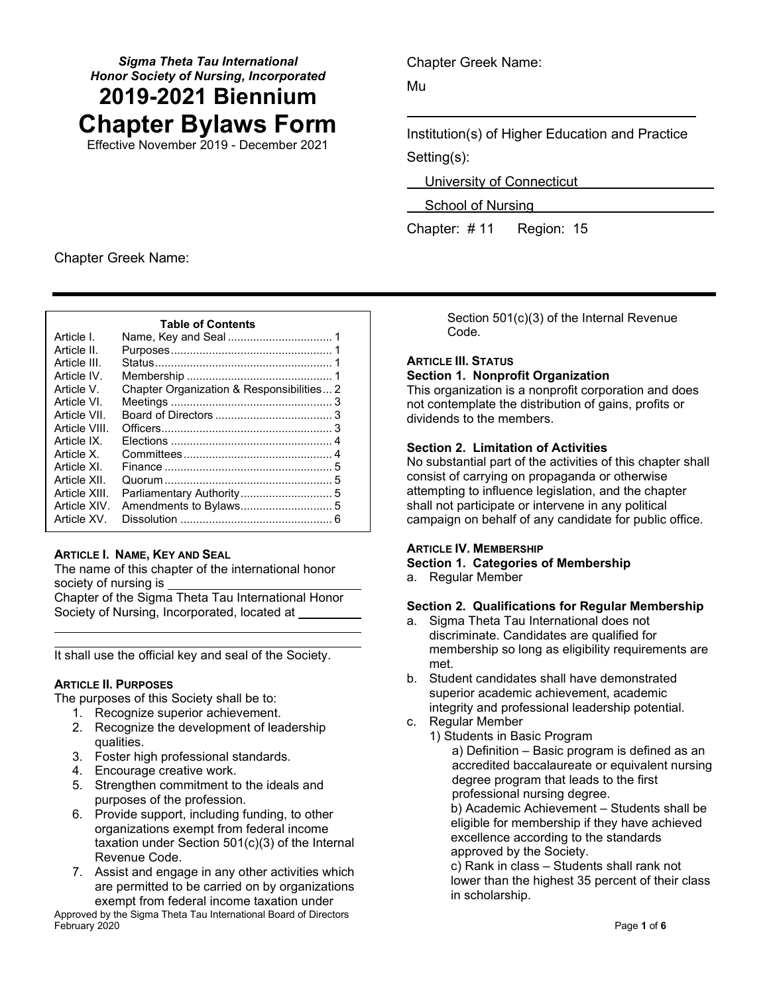# *Sigma Theta Tau International Honor Society of Nursing, Incorporated* **2019-2021 Biennium Chapter Bylaws Form**

Effective November 2019 - December 2021

Chapter Greek Name:

Mu

Institution(s) of Higher Education and Practice Setting(s):

University of Connecticut

School of Nursing

Chapter: # 11 Region: 15

Chapter Greek Name:

| <b>Table of Contents</b> |  |  |  |
|--------------------------|--|--|--|
|--------------------------|--|--|--|

# **ARTICLE I. NAME, KEY AND SEAL**

The name of this chapter of the international honor society of nursing is

Chapter of the Sigma Theta Tau International Honor Society of Nursing, Incorporated, located at

It shall use the official key and seal of the Society.

# **ARTICLE II. PURPOSES**

The purposes of this Society shall be to:

- 1. Recognize superior achievement.
- 2. Recognize the development of leadership qualities.
- 3. Foster high professional standards.
- 4. Encourage creative work.
- 5. Strengthen commitment to the ideals and purposes of the profession.
- 6. Provide support, including funding, to other organizations exempt from federal income taxation under Section 501(c)(3) of the Internal Revenue Code.
- 7. Assist and engage in any other activities which are permitted to be carried on by organizations exempt from federal income taxation under

Approved by the Sigma Theta Tau International Board of Directors February 2020 Page **1** of **6**

Section 501(c)(3) of the Internal Revenue Code.

# **ARTICLE III. STATUS Section 1. Nonprofit Organization**

This organization is a nonprofit corporation and does not contemplate the distribution of gains, profits or dividends to the members.

# **Section 2. Limitation of Activities**

No substantial part of the activities of this chapter shall consist of carrying on propaganda or otherwise attempting to influence legislation, and the chapter shall not participate or intervene in any political campaign on behalf of any candidate for public office.

# **ARTICLE IV. MEMBERSHIP**

### **Section 1. Categories of Membership**

a. Regular Member

# **Section 2. Qualifications for Regular Membership**

- a. Sigma Theta Tau International does not discriminate. Candidates are qualified for membership so long as eligibility requirements are met.
- b. Student candidates shall have demonstrated superior academic achievement, academic integrity and professional leadership potential.
- c. Regular Member

1) Students in Basic Program a) Definition – Basic program is defined as an accredited baccalaureate or equivalent nursing degree program that leads to the first professional nursing degree.

b) Academic Achievement – Students shall be eligible for membership if they have achieved excellence according to the standards approved by the Society.

c) Rank in class – Students shall rank not lower than the highest 35 percent of their class in scholarship.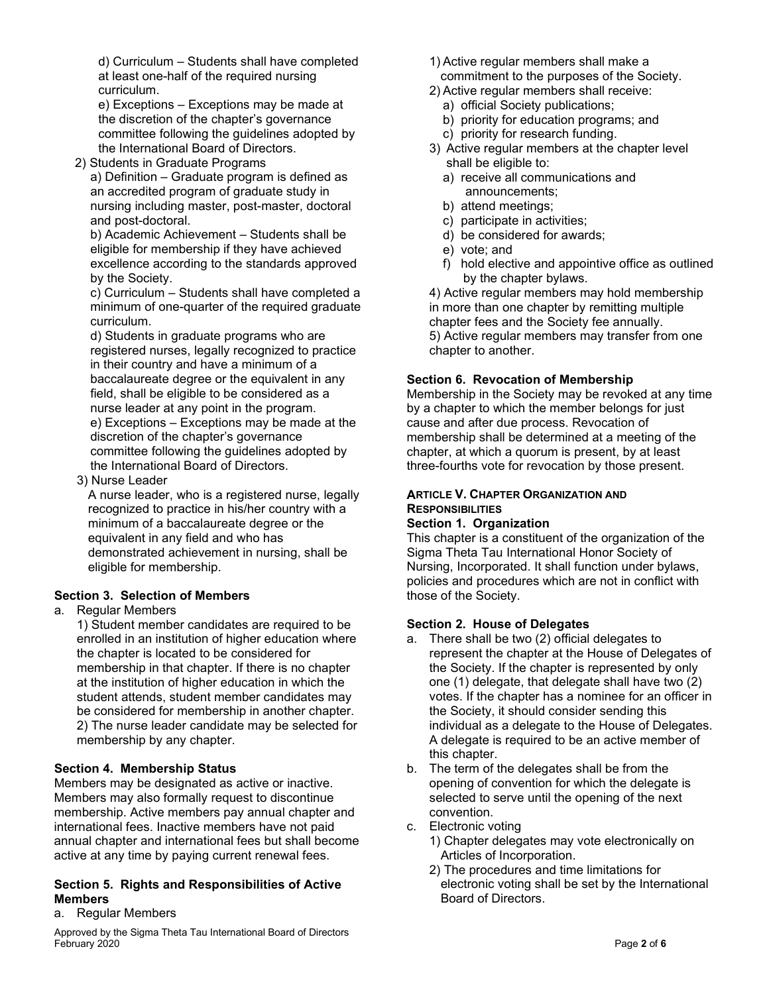d) Curriculum – Students shall have completed at least one-half of the required nursing curriculum.

e) Exceptions – Exceptions may be made at the discretion of the chapter's governance committee following the guidelines adopted by the International Board of Directors.

2) Students in Graduate Programs

a) Definition – Graduate program is defined as an accredited program of graduate study in nursing including master, post-master, doctoral and post-doctoral.

b) Academic Achievement – Students shall be eligible for membership if they have achieved excellence according to the standards approved by the Society.

c) Curriculum – Students shall have completed a minimum of one-quarter of the required graduate curriculum.

d) Students in graduate programs who are registered nurses, legally recognized to practice in their country and have a minimum of a baccalaureate degree or the equivalent in any field, shall be eligible to be considered as a nurse leader at any point in the program. e) Exceptions – Exceptions may be made at the discretion of the chapter's governance committee following the guidelines adopted by the International Board of Directors.

3) Nurse Leader

A nurse leader, who is a registered nurse, legally recognized to practice in his/her country with a minimum of a baccalaureate degree or the equivalent in any field and who has demonstrated achievement in nursing, shall be eligible for membership.

# **Section 3. Selection of Members**

### a. Regular Members

1) Student member candidates are required to be enrolled in an institution of higher education where the chapter is located to be considered for membership in that chapter. If there is no chapter at the institution of higher education in which the student attends, student member candidates may be considered for membership in another chapter. 2) The nurse leader candidate may be selected for membership by any chapter.

### **Section 4. Membership Status**

Members may be designated as active or inactive. Members may also formally request to discontinue membership. Active members pay annual chapter and international fees. Inactive members have not paid annual chapter and international fees but shall become active at any time by paying current renewal fees.

# **Section 5. Rights and Responsibilities of Active Members**

#### a. Regular Members

Approved by the Sigma Theta Tau International Board of Directors February 2020 Page **2** of **6**

- 1) Active regular members shall make a commitment to the purposes of the Society.
- 2) Active regular members shall receive:
	- a) official Society publications;
	- b) priority for education programs; and
	- c) priority for research funding.
- 3) Active regular members at the chapter level shall be eligible to:
	- a) receive all communications and announcements;
	- b) attend meetings;
	- c) participate in activities;
	- d) be considered for awards;
	- e) vote; and
	- f) hold elective and appointive office as outlined by the chapter bylaws.

4) Active regular members may hold membership in more than one chapter by remitting multiple chapter fees and the Society fee annually.

5) Active regular members may transfer from one chapter to another.

## **Section 6. Revocation of Membership**

Membership in the Society may be revoked at any time by a chapter to which the member belongs for just cause and after due process. Revocation of membership shall be determined at a meeting of the chapter, at which a quorum is present, by at least three-fourths vote for revocation by those present.

## **ARTICLE V. CHAPTER ORGANIZATION AND RESPONSIBILITIES**

## **Section 1. Organization**

This chapter is a constituent of the organization of the Sigma Theta Tau International Honor Society of Nursing, Incorporated. It shall function under bylaws, policies and procedures which are not in conflict with those of the Society.

### **Section 2. House of Delegates**

- a. There shall be two (2) official delegates to represent the chapter at the House of Delegates of the Society. If the chapter is represented by only one (1) delegate, that delegate shall have two (2) votes. If the chapter has a nominee for an officer in the Society, it should consider sending this individual as a delegate to the House of Delegates. A delegate is required to be an active member of this chapter.
- b. The term of the delegates shall be from the opening of convention for which the delegate is selected to serve until the opening of the next convention.
- c. Electronic voting
	- 1) Chapter delegates may vote electronically on Articles of Incorporation.
	- 2) The procedures and time limitations for electronic voting shall be set by the International Board of Directors.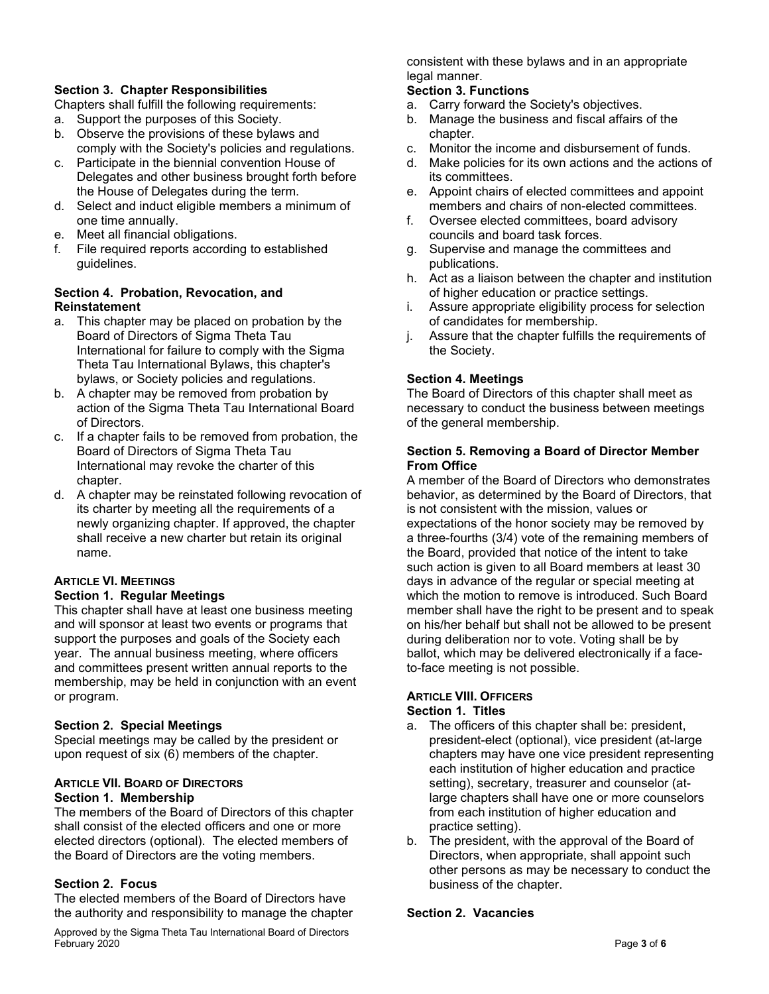# **Section 3. Chapter Responsibilities**

Chapters shall fulfill the following requirements:

- a. Support the purposes of this Society.
- b. Observe the provisions of these bylaws and comply with the Society's policies and regulations.
- c. Participate in the biennial convention House of Delegates and other business brought forth before the House of Delegates during the term.
- d. Select and induct eligible members a minimum of one time annually.
- e. Meet all financial obligations.
- f. File required reports according to established guidelines.

# **Section 4. Probation, Revocation, and Reinstatement**

- a. This chapter may be placed on probation by the Board of Directors of Sigma Theta Tau International for failure to comply with the Sigma Theta Tau International Bylaws, this chapter's bylaws, or Society policies and regulations.
- b. A chapter may be removed from probation by action of the Sigma Theta Tau International Board of Directors.
- c. If a chapter fails to be removed from probation, the Board of Directors of Sigma Theta Tau International may revoke the charter of this chapter.
- d. A chapter may be reinstated following revocation of its charter by meeting all the requirements of a newly organizing chapter. If approved, the chapter shall receive a new charter but retain its original name.

# **ARTICLE VI. MEETINGS Section 1. Regular Meetings**

This chapter shall have at least one business meeting and will sponsor at least two events or programs that support the purposes and goals of the Society each year. The annual business meeting, where officers and committees present written annual reports to the membership, may be held in conjunction with an event or program.

# **Section 2. Special Meetings**

Special meetings may be called by the president or upon request of six (6) members of the chapter.

### **ARTICLE VII. BOARD OF DIRECTORS Section 1. Membership**

The members of the Board of Directors of this chapter shall consist of the elected officers and one or more elected directors (optional). The elected members of the Board of Directors are the voting members.

# **Section 2. Focus**

The elected members of the Board of Directors have the authority and responsibility to manage the chapter

Approved by the Sigma Theta Tau International Board of Directors February 2020 Page **3** of **6**

consistent with these bylaws and in an appropriate legal manner.

# **Section 3. Functions**

- a. Carry forward the Society's objectives.
- b. Manage the business and fiscal affairs of the chapter.
- c. Monitor the income and disbursement of funds.
- d. Make policies for its own actions and the actions of its committees.
- e. Appoint chairs of elected committees and appoint members and chairs of non-elected committees.
- f. Oversee elected committees, board advisory councils and board task forces.
- g. Supervise and manage the committees and publications.
- h. Act as a liaison between the chapter and institution of higher education or practice settings.
- i. Assure appropriate eligibility process for selection of candidates for membership.
- j. Assure that the chapter fulfills the requirements of the Society.

# **Section 4. Meetings**

The Board of Directors of this chapter shall meet as necessary to conduct the business between meetings of the general membership.

## **Section 5. Removing a Board of Director Member From Office**

A member of the Board of Directors who demonstrates behavior, as determined by the Board of Directors, that is not consistent with the mission, values or expectations of the honor society may be removed by a three-fourths (3/4) vote of the remaining members of the Board, provided that notice of the intent to take such action is given to all Board members at least 30 days in advance of the regular or special meeting at which the motion to remove is introduced. Such Board member shall have the right to be present and to speak on his/her behalf but shall not be allowed to be present during deliberation nor to vote. Voting shall be by ballot, which may be delivered electronically if a faceto-face meeting is not possible.

#### **ARTICLE VIII. OFFICERS Section 1. Titles**

## a. The officers of this chapter shall be: president, president-elect (optional), vice president (at-large chapters may have one vice president representing each institution of higher education and practice setting), secretary, treasurer and counselor (atlarge chapters shall have one or more counselors from each institution of higher education and practice setting).

b. The president, with the approval of the Board of Directors, when appropriate, shall appoint such other persons as may be necessary to conduct the business of the chapter.

## **Section 2. Vacancies**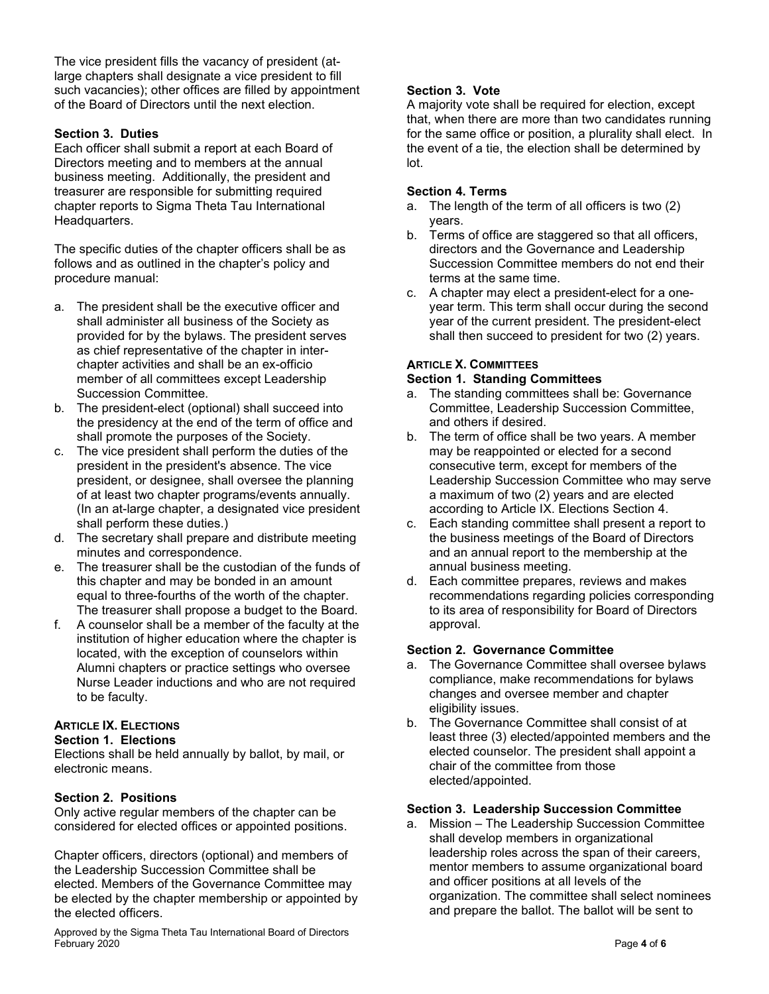The vice president fills the vacancy of president (atlarge chapters shall designate a vice president to fill such vacancies); other offices are filled by appointment of the Board of Directors until the next election.

## **Section 3. Duties**

Each officer shall submit a report at each Board of Directors meeting and to members at the annual business meeting. Additionally, the president and treasurer are responsible for submitting required chapter reports to Sigma Theta Tau International Headquarters.

The specific duties of the chapter officers shall be as follows and as outlined in the chapter's policy and procedure manual:

- a. The president shall be the executive officer and shall administer all business of the Society as provided for by the bylaws. The president serves as chief representative of the chapter in interchapter activities and shall be an ex-officio member of all committees except Leadership Succession Committee.
- b. The president-elect (optional) shall succeed into the presidency at the end of the term of office and shall promote the purposes of the Society.
- c. The vice president shall perform the duties of the president in the president's absence. The vice president, or designee, shall oversee the planning of at least two chapter programs/events annually. (In an at-large chapter, a designated vice president shall perform these duties.)
- d. The secretary shall prepare and distribute meeting minutes and correspondence.
- e. The treasurer shall be the custodian of the funds of this chapter and may be bonded in an amount equal to three-fourths of the worth of the chapter. The treasurer shall propose a budget to the Board.
- f. A counselor shall be a member of the faculty at the institution of higher education where the chapter is located, with the exception of counselors within Alumni chapters or practice settings who oversee Nurse Leader inductions and who are not required to be faculty.

# **ARTICLE IX. ELECTIONS**

### **Section 1. Elections**

Elections shall be held annually by ballot, by mail, or electronic means.

# **Section 2. Positions**

Only active regular members of the chapter can be considered for elected offices or appointed positions.

Chapter officers, directors (optional) and members of the Leadership Succession Committee shall be elected. Members of the Governance Committee may be elected by the chapter membership or appointed by the elected officers.

Approved by the Sigma Theta Tau International Board of Directors February 2020 Page **4** of **6**

# **Section 3. Vote**

A majority vote shall be required for election, except that, when there are more than two candidates running for the same office or position, a plurality shall elect. In the event of a tie, the election shall be determined by lot.

## **Section 4. Terms**

- a. The length of the term of all officers is two (2) years.
- b. Terms of office are staggered so that all officers, directors and the Governance and Leadership Succession Committee members do not end their terms at the same time.
- c. A chapter may elect a president-elect for a oneyear term. This term shall occur during the second year of the current president. The president-elect shall then succeed to president for two (2) years.

# **ARTICLE X. COMMITTEES**

## **Section 1. Standing Committees**

- a. The standing committees shall be: Governance Committee, Leadership Succession Committee, and others if desired.
- b. The term of office shall be two years. A member may be reappointed or elected for a second consecutive term, except for members of the Leadership Succession Committee who may serve a maximum of two (2) years and are elected according to Article IX. Elections Section 4.
- c. Each standing committee shall present a report to the business meetings of the Board of Directors and an annual report to the membership at the annual business meeting.
- d. Each committee prepares, reviews and makes recommendations regarding policies corresponding to its area of responsibility for Board of Directors approval.

# **Section 2. Governance Committee**

- a. The Governance Committee shall oversee bylaws compliance, make recommendations for bylaws changes and oversee member and chapter eligibility issues.
- b. The Governance Committee shall consist of at least three (3) elected/appointed members and the elected counselor. The president shall appoint a chair of the committee from those elected/appointed.

## **Section 3. Leadership Succession Committee**

a. Mission – The Leadership Succession Committee shall develop members in organizational leadership roles across the span of their careers, mentor members to assume organizational board and officer positions at all levels of the organization. The committee shall select nominees and prepare the ballot. The ballot will be sent to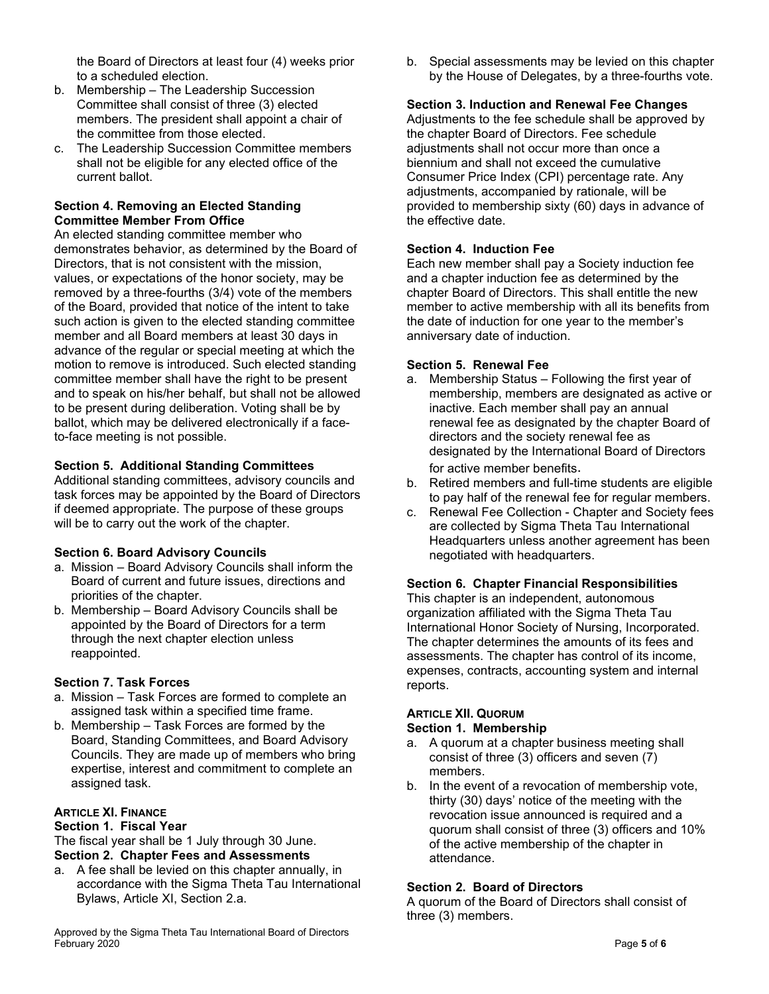the Board of Directors at least four (4) weeks prior to a scheduled election.

- b. Membership The Leadership Succession Committee shall consist of three (3) elected members. The president shall appoint a chair of the committee from those elected.
- c. The Leadership Succession Committee members shall not be eligible for any elected office of the current ballot.

# **Section 4. Removing an Elected Standing Committee Member From Office**

An elected standing committee member who demonstrates behavior, as determined by the Board of Directors, that is not consistent with the mission, values, or expectations of the honor society, may be removed by a three-fourths (3/4) vote of the members of the Board, provided that notice of the intent to take such action is given to the elected standing committee member and all Board members at least 30 days in advance of the regular or special meeting at which the motion to remove is introduced. Such elected standing committee member shall have the right to be present and to speak on his/her behalf, but shall not be allowed to be present during deliberation. Voting shall be by ballot, which may be delivered electronically if a faceto-face meeting is not possible.

# **Section 5. Additional Standing Committees**

Additional standing committees, advisory councils and task forces may be appointed by the Board of Directors if deemed appropriate. The purpose of these groups will be to carry out the work of the chapter.

### **Section 6. Board Advisory Councils**

- a. Mission Board Advisory Councils shall inform the Board of current and future issues, directions and priorities of the chapter.
- b. Membership Board Advisory Councils shall be appointed by the Board of Directors for a term through the next chapter election unless reappointed.

# **Section 7. Task Forces**

- a. Mission Task Forces are formed to complete an assigned task within a specified time frame.
- b. Membership Task Forces are formed by the Board, Standing Committees, and Board Advisory Councils. They are made up of members who bring expertise, interest and commitment to complete an assigned task.

# **ARTICLE XI. FINANCE**

### **Section 1. Fiscal Year**

The fiscal year shall be 1 July through 30 June. **Section 2. Chapter Fees and Assessments**

a. A fee shall be levied on this chapter annually, in accordance with the Sigma Theta Tau International Bylaws, Article XI, Section 2.a.

Approved by the Sigma Theta Tau International Board of Directors February 2020 Page **5** of **6**

b. Special assessments may be levied on this chapter by the House of Delegates, by a three-fourths vote.

## **Section 3. Induction and Renewal Fee Changes**

Adjustments to the fee schedule shall be approved by the chapter Board of Directors. Fee schedule adjustments shall not occur more than once a biennium and shall not exceed the cumulative Consumer Price Index (CPI) percentage rate. Any adjustments, accompanied by rationale, will be provided to membership sixty (60) days in advance of the effective date.

## **Section 4. Induction Fee**

Each new member shall pay a Society induction fee and a chapter induction fee as determined by the chapter Board of Directors. This shall entitle the new member to active membership with all its benefits from the date of induction for one year to the member's anniversary date of induction.

## **Section 5. Renewal Fee**

- a. Membership Status Following the first year of membership, members are designated as active or inactive. Each member shall pay an annual renewal fee as designated by the chapter Board of directors and the society renewal fee as designated by the International Board of Directors for active member benefits.
- b. Retired members and full-time students are eligible to pay half of the renewal fee for regular members.
- c. Renewal Fee Collection Chapter and Society fees are collected by Sigma Theta Tau International Headquarters unless another agreement has been negotiated with headquarters.

# **Section 6. Chapter Financial Responsibilities**

This chapter is an independent, autonomous organization affiliated with the Sigma Theta Tau International Honor Society of Nursing, Incorporated. The chapter determines the amounts of its fees and assessments. The chapter has control of its income, expenses, contracts, accounting system and internal reports.

#### **ARTICLE XII. QUORUM Section 1. Membership**

- a. A quorum at a chapter business meeting shall consist of three (3) officers and seven (7) members.
- b. In the event of a revocation of membership vote, thirty (30) days' notice of the meeting with the revocation issue announced is required and a quorum shall consist of three (3) officers and 10% of the active membership of the chapter in attendance.

# **Section 2. Board of Directors**

A quorum of the Board of Directors shall consist of three (3) members.